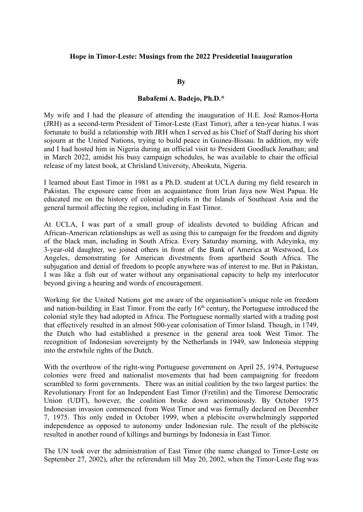## **Hope in Timor-Leste: Musings from the 2022 Presidential Inauguration**

## **By**

## **Babafemi A. Badejo, Ph.D.\***

My wife and I had the pleasure of attending the inauguration of H.E. José Ramos-Horta (JRH) as a second-term President of Timor-Leste (East Timor), after a ten-year hiatus. I was fortunate to build a relationship with JRH when I served as his Chief of Staff during his short sojourn at the United Nations, trying to build peace in Guinea-Bissau. In addition, my wife and I had hosted him in Nigeria during an official visit to President Goodluck Jonathan; and in March 2022, amidst his busy campaign schedules, he was available to chair the official release of my latest book, at Chrisland University, Abeokuta, Nigeria.

I learned about East Timor in 1981 as a Ph.D. student at UCLA during my field research in Pakistan. The exposure came from an acquaintance from Irian Jaya now West Papua. He educated me on the history of colonial exploits in the Islands of Southeast Asia and the general turmoil affecting the region, including in East Timor.

At UCLA, I was part of a small group of idealists devoted to building African and African-American relationships as well as using this to campaign for the freedom and dignity of the black man, including in South Africa. Every Saturday morning, with Adeyinka, my 3-year-old daughter, we joined others in front of the Bank of America at Westwood, Los Angeles, demonstrating for American divestments from apartheid South Africa. The subjugation and denial of freedom to people anywhere was of interest to me. But in Pakistan, I was like a fish out of water without any organisational capacity to help my interlocutor beyond giving a hearing and words of encouragement.

Working for the United Nations got me aware of the organisation's unique role on freedom and nation-building in East Timor. From the early  $16<sup>th</sup>$  century, the Portuguese introduced the colonial style they had adopted in Africa. The Portuguese normally started with a trading post that effectively resulted in an almost 500-year colonisation of Timor Island. Though, in 1749, the Dutch who had established a presence in the general area took West Timor. The recognition of Indonesian sovereignty by the Netherlands in 1949, saw Indonesia stepping into the erstwhile rights of the Dutch.

With the overthrow of the right-wing Portuguese government on April 25, 1974, Portuguese colonies were freed and nationalist movements that had been campaigning for freedom scrambled to form governments. There was an initial coalition by the two largest parties: the Revolutionary Front for an Independent East Timor (Fretilin) and the Timorese Democratic Union (UDT), however, the coalition broke down acrimoniously. By October 1975 Indonesian invasion commenced from West Timor and was formally declared on December 7, 1975. This only ended in October 1999, when a plebiscite overwhelmingly supported independence as opposed to autonomy under Indonesian rule. The result of the plebiscite resulted in another round of killings and burnings by Indonesia in East Timor.

The UN took over the administration of East Timor (the name changed to Timor-Leste on September 27, 2002), after the referendum till May 20, 2002, when the Timor-Leste flag was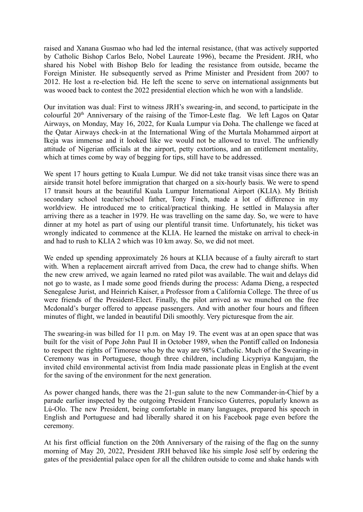raised and Xanana Gusmao who had led the internal resistance, (that was actively supported by Catholic Bishop Carlos Belo, Nobel Laureate 1996), became the President. JRH, who shared his Nobel with Bishop Belo for leading the resistance from outside, became the Foreign Minister. He subsequently served as Prime Minister and President from 2007 to 2012. He lost a re-election bid. He left the scene to serve on international assignments but was wooed back to contest the 2022 presidential election which he won with a landslide.

Our invitation was dual: First to witness JRH's swearing-in, and second, to participate in the colourful 20<sup>th</sup> Anniversary of the raising of the Timor-Leste flag. We left Lagos on Qatar Airways, on Monday, May 16, 2022, for Kuala Lumpur via Doha. The challenge we faced at the Qatar Airways check-in at the International Wing of the Murtala Mohammed airport at Ikeja was immense and it looked like we would not be allowed to travel. The unfriendly attitude of Nigerian officials at the airport, petty extortions, and an entitlement mentality, which at times come by way of begging for tips, still have to be addressed.

We spent 17 hours getting to Kuala Lumpur. We did not take transit visas since there was an airside transit hotel before immigration that charged on a six-hourly basis. We were to spend 17 transit hours at the beautiful Kuala Lumpur International Airport (KLIA). My British secondary school teacher/school father, Tony Finch, made a lot of difference in my worldview. He introduced me to critical/practical thinking. He settled in Malaysia after arriving there as a teacher in 1979. He was travelling on the same day. So, we were to have dinner at my hotel as part of using our plentiful transit time. Unfortunately, his ticket was wrongly indicated to commence at the KLIA. He learned the mistake on arrival to check-in and had to rush to KLIA 2 which was 10 km away. So, we did not meet.

We ended up spending approximately 26 hours at KLIA because of a faulty aircraft to start with. When a replacement aircraft arrived from Daca, the crew had to change shifts. When the new crew arrived, we again learned no rated pilot was available. The wait and delays did not go to waste, as I made some good friends during the process: Adama Dieng, a respected Senegalese Jurist, and Heinrich Kaiser, a Professor from a California College. The three of us were friends of the President-Elect. Finally, the pilot arrived as we munched on the free Mcdonald's burger offered to appease passengers. And with another four hours and fifteen minutes of flight, we landed in beautiful Dili smoothly. Very picturesque from the air.

The swearing-in was billed for 11 p.m. on May 19. The event was at an open space that was built for the visit of Pope John Paul II in October 1989, when the Pontiff called on Indonesia to respect the rights of Timorese who by the way are 98% Catholic. Much of the Swearing-in Ceremony was in Portuguese, though three children, including Licypriya Kangujam, the invited child environmental activist from India made passionate pleas in English at the event for the saving of the environment for the next generation.

As power changed hands, there was the 21-gun salute to the new Commander-in-Chief by a parade earlier inspected by the outgoing President Francisco Guterres, popularly known as Lú-Olo. The new President, being comfortable in many languages, prepared his speech in English and Portuguese and had liberally shared it on his Facebook page even before the ceremony.

At his first official function on the 20th Anniversary of the raising of the flag on the sunny morning of May 20, 2022, President JRH behaved like his simple José self by ordering the gates of the presidential palace open for all the children outside to come and shake hands with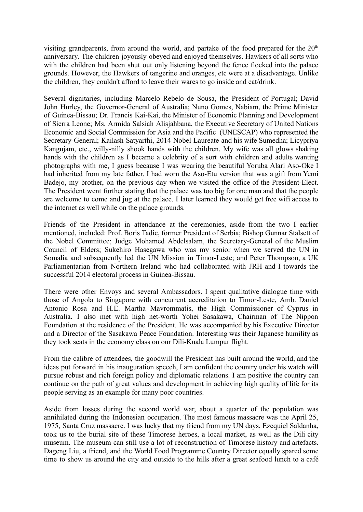visiting grandparents, from around the world, and partake of the food prepared for the  $20<sup>th</sup>$ anniversary. The children joyously obeyed and enjoyed themselves. Hawkers of all sorts who with the children had been shut out only listening beyond the fence flocked into the palace grounds. However, the Hawkers of tangerine and oranges, etc were at a disadvantage. Unlike the children, they couldn't afford to leave their wares to go inside and eat/drink.

Several dignitaries, including Marcelo Rebelo de Sousa, the President of Portugal; David John Hurley, the Governor-General of Australia; Nuno Gomes, Nabiam, the Prime Minister of Guinea-Bissau; Dr. Francis Kai-Kai, the Minister of Economic Planning and Development of Sierra Leone; Ms. Armida Salsiah Alisjahbana, the Executive Secretary of United Nations Economic and Social Commission for Asia and the Pacific (UNESCAP) who represented the Secretary-General; Kailash Satyarthi, 2014 Nobel Laureate and his wife Sumedha; Licypriya Kangujam, etc., willy-nilly shook hands with the children. My wife was all glows shaking hands with the children as I became a celebrity of a sort with children and adults wanting photographs with me, I guess because I was wearing the beautiful Yoruba Alari Aso-Oke I had inherited from my late father. I had worn the Aso-Etu version that was a gift from Yemi Badejo, my brother, on the previous day when we visited the office of the President-Elect. The President went further stating that the palace was too big for one man and that the people are welcome to come and jug at the palace. I later learned they would get free wifi access to the internet as well while on the palace grounds.

Friends of the President in attendance at the ceremonies, aside from the two I earlier mentioned, included: Prof. Boris Tadic, former President of Serbia; Bishop Gunnar Stalsett of the Nobel Committee; Judge Mohamed Abdelsalam, the Secretary-General of the Muslim Council of Elders; Sukehiro Hasegawa who was my senior when we served the UN in Somalia and subsequently led the UN Mission in Timor-Leste; and Peter Thompson, a UK Parliamentarian from Northern Ireland who had collaborated with JRH and I towards the successful 2014 electoral process in Guinea-Bissau.

There were other Envoys and several Ambassadors. I spent qualitative dialogue time with those of Angola to Singapore with concurrent accreditation to Timor-Leste, Amb. Daniel Antonio Rosa and H.E. Martha Mavrommatis, the High Commissioner of Cyprus in Australia. I also met with high net-worth Yohei Sasakawa, Chairman of The Nippon Foundation at the residence of the President. He was accompanied by his Executive Director and a Director of the Sasakawa Peace Foundation. Interesting was their Japanese humility as they took seats in the economy class on our Dili-Kuala Lumpur flight.

From the calibre of attendees, the goodwill the President has built around the world, and the ideas put forward in his inauguration speech, I am confident the country under his watch will pursue robust and rich foreign policy and diplomatic relations. I am positive the country can continue on the path of great values and development in achieving high quality of life for its people serving as an example for many poor countries.

Aside from losses during the second world war, about a quarter of the population was annihilated during the Indonesian occupation. The most famous massacre was the April 25, 1975, Santa Cruz massacre. I was lucky that my friend from my UN days, Ezequiel Saldanha, took us to the burial site of these Timorese heroes, a local market, as well as the Dili city museum. The museum can still use a lot of reconstruction of Timorese history and artefacts. Dageng Liu, a friend, and the World Food Programme Country Director equally spared some time to show us around the city and outside to the hills after a great seafood lunch to a café